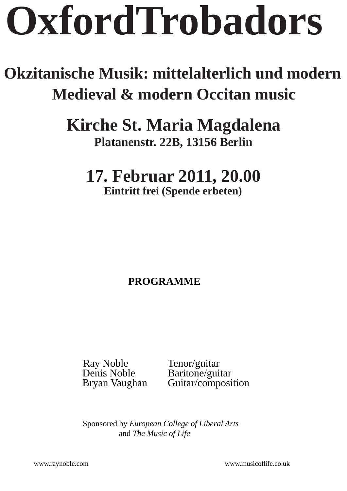# **OxfordTrobadors xfordTrobadors**

# **Okzitanische Musik: mittelalterlich und modern kzitanische Medieval & modern Occitan music**

# **Kirche St. Maria Magdalena irche Platanenstr. 22B, 13156 Berlin latanenstr.**

# **17. Februar 2011, 20.00 7.**

**Eintritt frei (Spende erbeten)** 

# **PROGRAMME PROGRAMME**

Ray Noble<br>
Denis Noble<br>
Raritone/gui Denis Noble<br>Bryan Vaughan Guitar/composi

Guitar/composition

 Sponsored by *European College of Liberal Arts* and *The Music of Life*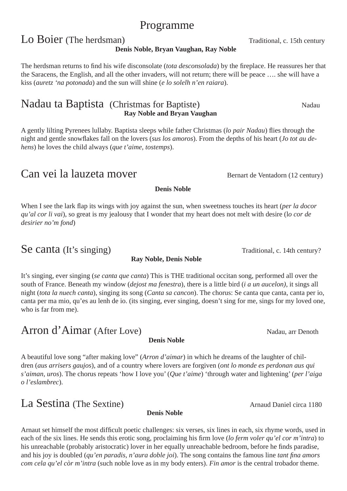### Programme

# Lo Boier (The herdsman) Traditional, c. 15th century

#### **Denis Noble, Bryan Vaughan, Ray Noble**

The herdsman returns to find his wife disconsolate *(tota desconsolada)* by the fireplace. He reassures her that the Saracens, the English, and all the other invaders, will not return; there will be peace …. she will have a kiss (*auretz 'na potonada*) and the sun will shine (*e lo solelh n'en raiara*).

#### Nadau ta Baptista (Christmas for Baptiste) Nadau  **Ray Noble and Bryan Vaughan**

A gently lilting Pyrenees lullaby. Baptista sleeps while father Christmas (*lo pair Nadau*) flies through the night and gentle snowflakes fall on the lovers (*sus los amoros*). From the depths of his heart (*Jo tot au dehens*) he loves the child always (*que t'aime, tostemps*).

## Can vei la lauzeta mover Bernart de Ventadorn (12 century)

When I see the lark flap its wings with joy against the sun, when sweetness touches its heart (*per la docor qu'al cor li vai*), so great is my jealousy that I wonder that my heart does not melt with desire (l*o cor de desirier no'm fond*)

**Denis Noble**

## Se canta (It's singing) Traditional, c. 14th century?

**Ray Noble, Denis Noble**

It's singing, ever singing (*se canta que canta*) This is THE traditional occitan song, performed all over the south of France. Beneath my window (*dejost ma fenestra*), there is a little bird (*i a un aucelon)*, it sings all night (*tota la nuech canta*), singing its song (*Canta sa cancon*). The chorus: Se canta que canta, canta per io, canta per ma mio, qu'es au lenh de io. (its singing, ever singing, doesn't sing for me, sings for my loved one, who is far from me).

# Arron d'Aimar (After Love) Nadau, arr Denoth

#### **Denis Noble**

A beautiful love song "after making love" (*Arron d'aimar*) in which he dreams of the laughter of children (*aus arrisers gaujos*), and of a country where lovers are forgiven (*ont lo monde es perdonan aus qui s'aiman, uros*). The chorus repeats 'how I love you' (*Que t'aime*) 'through water and lightening' (*per l'aiga o l'eslambrec*).

# La Sestina (The Sextine) Arnaud Daniel circa 1180

#### **Denis Noble**

Arnaut set himself the most difficult poetic challenges: six verses, six lines in each, six rhyme words, used in each of the six lines. He sends this erotic song, proclaiming his firm love (*lo ferm voler qu'el cor m'intra*) to his unreachable (probably aristocratic) lover in her equally unreachable bedroom, before he finds paradise, and his joy is doubled (*qu'en paradis, n'aura doble joi*). The song contains the famous line *tant fina amors com cela qu'el còr m'intra* (such noble love as in my body enters). *Fin amor* is the central trobador theme.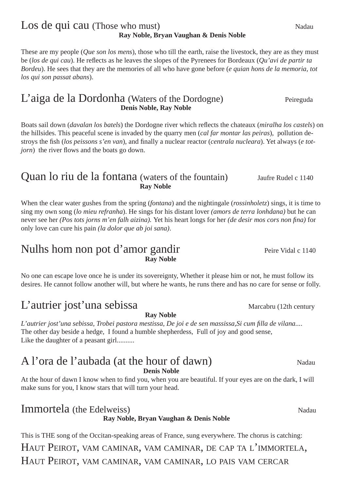#### Los de qui cau (Those who must) Nadau **Ray Noble, Bryan Vaughan & Denis Noble**

These are my people (*Que son los mens*), those who till the earth, raise the livestock, they are as they must be (*los de qui cau*). He reflects as he leaves the slopes of the Pyrenees for Bordeaux (*Qu'avi de partir ta Bordeu*). He sees that they are the memories of all who have gone before (*e quian hons de la memoria, tot los qui son passat abans*).

#### L'aiga de la Dordonha (Waters of the Dordogne) Peireguda **Denis Noble, Ray Noble**

Boats sail down *(davalan los batels)* the Dordogne river which reflects the chateaux *(miralha los castels)* on the hillsides. This peaceful scene is invaded by the quarry men (*cal far montar las peiras*), pollution destroys the fish (los peissons s'en van), and finally a nuclear reactor (*centrala nucleara*). Yet always (*e totjorn*) the river flows and the boats go down.

#### Quan lo riu de la fontana (waters of the fountain) Jaufre Rudel c 1140 **Ray Noble**

When the clear water gushes from the spring (*fontana*) and the nightingale (*rossinholetz*) sings, it is time to sing my own song (*lo mieu refranha*). He sings for his distant lover *(amors de terra lonhdana)* but he can never see her *(Pos tots jorns m'en falh aizina)*. Yet his heart longs for her *(de desir mos cors non fina)* for only love can cure his pain *(la dolor que ab joi sana)*.

#### Nulhs hom non pot d'amor gandir Peire Vidal c 1140 **Ray Noble**

No one can escape love once he is under its sovereignty, Whether it please him or not, he must follow its desires. He cannot follow another will, but where he wants, he runs there and has no care for sense or folly.

# L'autrier jost'una sebissa Marcabru (12th century

 **Ray Noble** *L'autrier jost'una sebissa, Trobei pastora mestissa, De joi e de sen massissa, Si cum filla de vilana....* The other day beside a hedge, I found a humble shepherdess, Full of joy and good sense, Like the daughter of a peasant girl..........

#### A l'ora de l'aubada (at the hour of dawn) Nadau **Denis Noble**

At the hour of dawn I know when to find you, when you are beautiful. If your eyes are on the dark, I will make suns for you, I know stars that will turn your head.

#### **Immortela** (the Edelweiss) Nadau  **Ray Noble, Bryan Vaughan & Denis Noble**

This is THE song of the Occitan-speaking areas of France, sung everywhere. The chorus is catching:

HAUT PEIROT, VAM CAMINAR, VAM CAMINAR, DE CAP TA L'IMMORTELA, HAUT PEIROT, VAM CAMINAR, VAM CAMINAR, LO PAIS VAM CERCAR